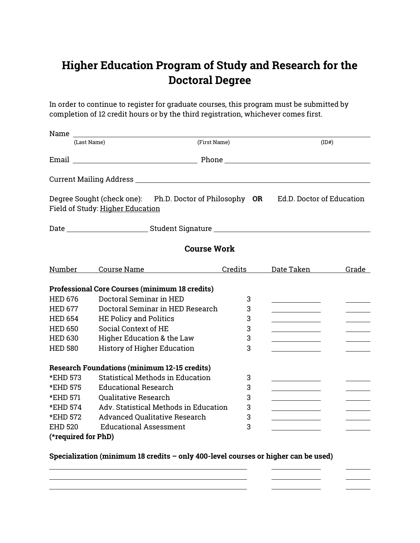## **Higher Education Program of Study and Research for the Doctoral Degree**

In order to continue to register for graduate courses, this program must be submitted by completion of 12 credit hours or by the third registration, whichever comes first.

| (Last Name)         |                                                                                                                        | (First Name) |                                                | (ID# )                                                              |  |
|---------------------|------------------------------------------------------------------------------------------------------------------------|--------------|------------------------------------------------|---------------------------------------------------------------------|--|
|                     |                                                                                                                        |              |                                                |                                                                     |  |
|                     |                                                                                                                        |              |                                                |                                                                     |  |
|                     | Degree Sought (check one): Ph.D. Doctor of Philosophy OR Ed.D. Doctor of Education<br>Field of Study: Higher Education |              |                                                |                                                                     |  |
|                     |                                                                                                                        |              |                                                |                                                                     |  |
| <b>Course Work</b>  |                                                                                                                        |              |                                                |                                                                     |  |
|                     | <u>Number Course Name</u>                                                                                              | Credits      | Date Taken                                     | Grade                                                               |  |
|                     | <b>Professional Core Courses (minimum 18 credits)</b>                                                                  |              |                                                |                                                                     |  |
| <b>HED 676</b>      | Doctoral Seminar in HED                                                                                                | 3            |                                                |                                                                     |  |
| <b>HED 677</b>      | Doctoral Seminar in HED Research                                                                                       | 3            |                                                | <u> 1980 - John Barnett, f</u>                                      |  |
| <b>HED 654</b>      | <b>HE Policy and Politics</b>                                                                                          | 3            |                                                |                                                                     |  |
| <b>HED 650</b>      | Social Context of HE                                                                                                   | 3            |                                                |                                                                     |  |
| <b>HED 630</b>      | Higher Education & the Law                                                                                             | 3            |                                                |                                                                     |  |
| <b>HED 580</b>      | <b>History of Higher Education</b>                                                                                     | 3            |                                                |                                                                     |  |
|                     | <b>Research Foundations (minimum 12-15 credits)</b>                                                                    |              |                                                |                                                                     |  |
| *EHD 573            | <b>Statistical Methods in Education</b>                                                                                | 3            |                                                |                                                                     |  |
| *EHD 575            | <b>Educational Research</b>                                                                                            | 3            |                                                |                                                                     |  |
| *EHD 571            | <b>Qualitative Research</b>                                                                                            | 3            |                                                |                                                                     |  |
| *EHD 574            | Adv. Statistical Methods in Education                                                                                  | 3            | <u> 1989 - Johann Barn, mars eta inperiodo</u> | $\overline{\phantom{a}}$ . The contract of $\overline{\phantom{a}}$ |  |
| *EHD 572            | Advanced Qualitative Research                                                                                          | 3            |                                                |                                                                     |  |
| <b>EHD 520</b>      | <b>Educational Assessment</b>                                                                                          | 3            |                                                |                                                                     |  |
| (*required for PhD) |                                                                                                                        |              |                                                |                                                                     |  |

**Specialization (minimum 18 credits – only 400-level courses or higher can be used)** 

 $\overline{\phantom{a}}$  and  $\overline{\phantom{a}}$  and  $\overline{\phantom{a}}$ 

<u> 1989 - Johann Barn, mars eta bainar eta bainar eta baina eta baina eta baina eta baina eta baina eta baina e</u>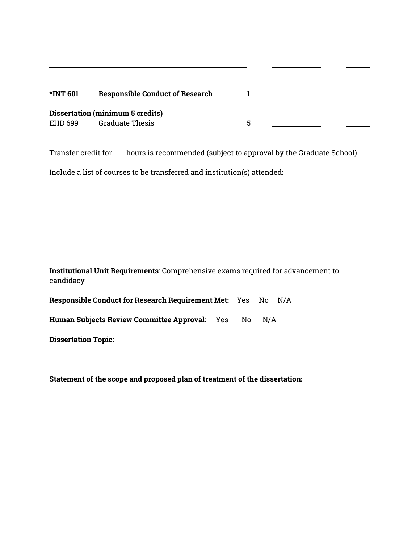| <b>*INT 601</b> | <b>Responsible Conduct of Research</b>  |   |  |
|-----------------|-----------------------------------------|---|--|
|                 | <b>Dissertation (minimum 5 credits)</b> |   |  |
| EHD 699         | <b>Graduate Thesis</b>                  | 5 |  |

Transfer credit for \_\_\_ hours is recommended (subject to approval by the Graduate School).

Include a list of courses to be transferred and institution(s) attended:

| Institutional Unit Requirements: Comprehensive exams required for advancement to |  |  |
|----------------------------------------------------------------------------------|--|--|
| candidacy                                                                        |  |  |
| Responsible Conduct for Research Requirement Met: Yes No N/A                     |  |  |

| Human Subjects Review Committee Approval: Yes No N/A |  |  |  |
|------------------------------------------------------|--|--|--|
|                                                      |  |  |  |

**Dissertation Topic:**

**Statement of the scope and proposed plan of treatment of the dissertation:**